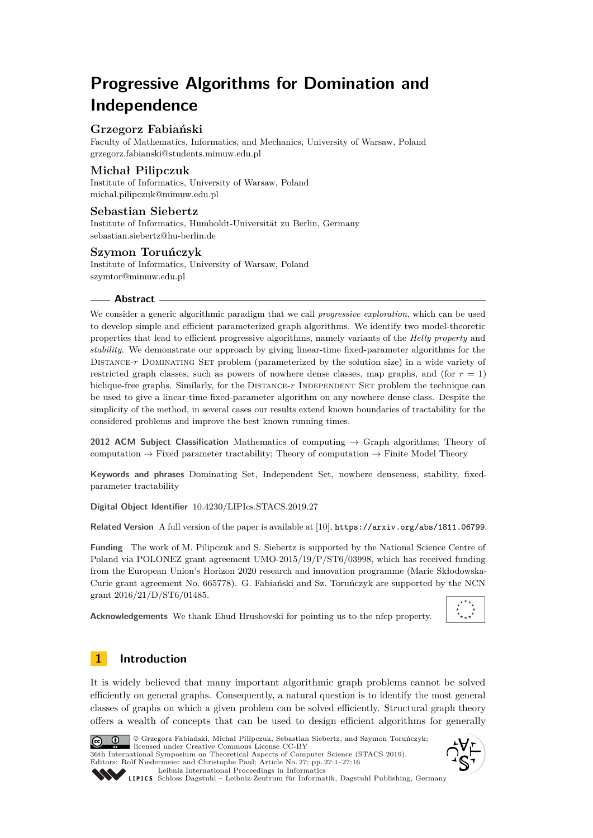# **Progressive Algorithms for Domination and Independence**

# **Grzegorz Fabiański**

Faculty of Mathematics, Informatics, and Mechanics, University of Warsaw, Poland [grzegorz.fabianski@students.mimuw.edu.pl](mailto:grzegorz.fabianski@students.mimuw.edu.pl)

# **Michał Pilipczuk**

Institute of Informatics, University of Warsaw, Poland [michal.pilipczuk@mimuw.edu.pl](mailto:michal.pilipczuk@mimuw.edu.pl)

## **Sebastian Siebertz**

Institute of Informatics, Humboldt-Universität zu Berlin, Germany [sebastian.siebertz@hu-berlin.de](mailto:sebastian.siebertz@hu-berlin.de)

# **Szymon Toruńczyk**

Institute of Informatics, University of Warsaw, Poland [szymtor@mimuw.edu.pl](mailto:szymtor@mimuw.edu.pl)

## **Abstract**

We consider a generic algorithmic paradigm that we call *progressive exploration*, which can be used to develop simple and efficient parameterized graph algorithms. We identify two model-theoretic properties that lead to efficient progressive algorithms, namely variants of the *Helly property* and *stability*. We demonstrate our approach by giving linear-time fixed-parameter algorithms for the DISTANCE-*r* DOMINATING SET problem (parameterized by the solution size) in a wide variety of restricted graph classes, such as powers of nowhere dense classes, map graphs, and (for  $r = 1$ ) biclique-free graphs. Similarly, for the DISTANCE-r INDEPENDENT SET problem the technique can be used to give a linear-time fixed-parameter algorithm on any nowhere dense class. Despite the simplicity of the method, in several cases our results extend known boundaries of tractability for the considered problems and improve the best known running times.

**2012 ACM Subject Classification** Mathematics of computing → Graph algorithms; Theory of computation  $\rightarrow$  Fixed parameter tractability; Theory of computation  $\rightarrow$  Finite Model Theory

**Keywords and phrases** Dominating Set, Independent Set, nowhere denseness, stability, fixedparameter tractability

**Digital Object Identifier** [10.4230/LIPIcs.STACS.2019.27](https://doi.org/10.4230/LIPIcs.STACS.2019.27)

**Related Version** A full version of the paper is available at [\[10\]](#page-14-0), <https://arxiv.org/abs/1811.06799>.

**Funding** The work of M. Pilipczuk and S. Siebertz is supported by the National Science Centre of Poland via POLONEZ grant agreement UMO-2015/19/P/ST6/03998, which has received funding from the European Union's Horizon 2020 research and innovation programme (Marie Skłodowska-Curie grant agreement No. 665778). G. Fabiański and Sz. Toruńczyk are supported by the NCN grant 2016/21/D/ST6/01485.

**Acknowledgements** We thank Ehud Hrushovski for pointing us to the nfcp property.



# <span id="page-0-0"></span>**1 Introduction**

It is widely believed that many important algorithmic graph problems cannot be solved efficiently on general graphs. Consequently, a natural question is to identify the most general classes of graphs on which a given problem can be solved efficiently. Structural graph theory offers a wealth of concepts that can be used to design efficient algorithms for generally



© Grzegorz Fabiański, Michał Pilipczuk, Sebastian Siebertz, and Szymon Toruńczyk;  $\boxed{6}$   $\boxed{0}$   $\boxed{)}$ licensed under Creative Commons License CC-BY 36th International Symposium on Theoretical Aspects of Computer Science (STACS 2019). Editors: Rolf Niedermeier and Christophe Paul; Article No. 27; pp. 27:1–27[:16](#page-15-0) [Leibniz International Proceedings in Informatics](https://www.dagstuhl.de/lipics/)



[Schloss Dagstuhl – Leibniz-Zentrum für Informatik, Dagstuhl Publishing, Germany](https://www.dagstuhl.de)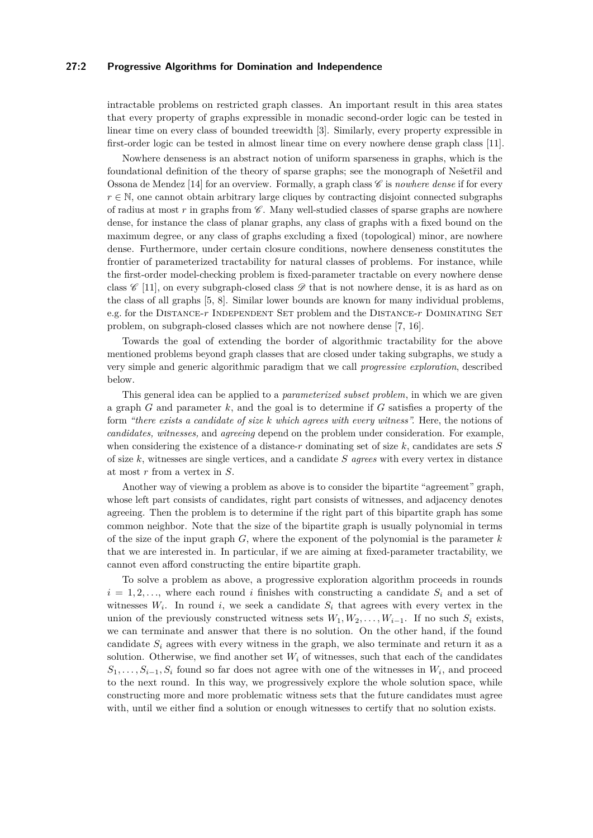## **27:2 Progressive Algorithms for Domination and Independence**

intractable problems on restricted graph classes. An important result in this area states that every property of graphs expressible in monadic second-order logic can be tested in linear time on every class of bounded treewidth [\[3\]](#page-14-1). Similarly, every property expressible in first-order logic can be tested in almost linear time on every nowhere dense graph class [\[11\]](#page-14-2).

Nowhere denseness is an abstract notion of uniform sparseness in graphs, which is the foundational definition of the theory of sparse graphs; see the monograph of Nešetřil and Ossona de Mendez [\[14\]](#page-15-1) for an overview. Formally, a graph class  $\mathscr C$  is *nowhere dense* if for every  $r \in \mathbb{N}$ , one cannot obtain arbitrary large cliques by contracting disjoint connected subgraphs of radius at most  $r$  in graphs from  $\mathscr C$ . Many well-studied classes of sparse graphs are nowhere dense, for instance the class of planar graphs, any class of graphs with a fixed bound on the maximum degree, or any class of graphs excluding a fixed (topological) minor, are nowhere dense. Furthermore, under certain closure conditions, nowhere denseness constitutes the frontier of parameterized tractability for natural classes of problems. For instance, while the first-order model-checking problem is fixed-parameter tractable on every nowhere dense class  $\mathscr{C}$  [\[11\]](#page-14-2), on every subgraph-closed class  $\mathscr{D}$  that is not nowhere dense, it is as hard as on the class of all graphs [\[5,](#page-14-3) [8\]](#page-14-4). Similar lower bounds are known for many individual problems, e.g. for the DISTANCE-r INDEPENDENT SET problem and the DISTANCE-r DOMINATING SET problem, on subgraph-closed classes which are not nowhere dense [\[7,](#page-14-5) [16\]](#page-15-2).

Towards the goal of extending the border of algorithmic tractability for the above mentioned problems beyond graph classes that are closed under taking subgraphs, we study a very simple and generic algorithmic paradigm that we call *progressive exploration*, described below.

This general idea can be applied to a *parameterized subset problem*, in which we are given a graph *G* and parameter *k*, and the goal is to determine if *G* satisfies a property of the form *"there exists a candidate of size k which agrees with every witness".* Here, the notions of *candidates, witnesses,* and *agreeing* depend on the problem under consideration. For example, when considering the existence of a distance-*r* dominating set of size *k*, candidates are sets *S* of size *k*, witnesses are single vertices, and a candidate *S agrees* with every vertex in distance at most *r* from a vertex in *S*.

Another way of viewing a problem as above is to consider the bipartite "agreement" graph, whose left part consists of candidates, right part consists of witnesses, and adjacency denotes agreeing. Then the problem is to determine if the right part of this bipartite graph has some common neighbor. Note that the size of the bipartite graph is usually polynomial in terms of the size of the input graph *G*, where the exponent of the polynomial is the parameter *k* that we are interested in. In particular, if we are aiming at fixed-parameter tractability, we cannot even afford constructing the entire bipartite graph.

To solve a problem as above, a progressive exploration algorithm proceeds in rounds  $i = 1, 2, \ldots$ , where each round *i* finishes with constructing a candidate  $S_i$  and a set of witnesses  $W_i$ . In round *i*, we seek a candidate  $S_i$  that agrees with every vertex in the union of the previously constructed witness sets  $W_1, W_2, \ldots, W_{i-1}$ . If no such  $S_i$  exists, we can terminate and answer that there is no solution. On the other hand, if the found candidate  $S_i$  agrees with every witness in the graph, we also terminate and return it as a solution. Otherwise, we find another set  $W_i$  of witnesses, such that each of the candidates  $S_1, \ldots, S_{i-1}, S_i$  found so far does not agree with one of the witnesses in  $W_i$ , and proceed to the next round. In this way, we progressively explore the whole solution space, while constructing more and more problematic witness sets that the future candidates must agree with, until we either find a solution or enough witnesses to certify that no solution exists.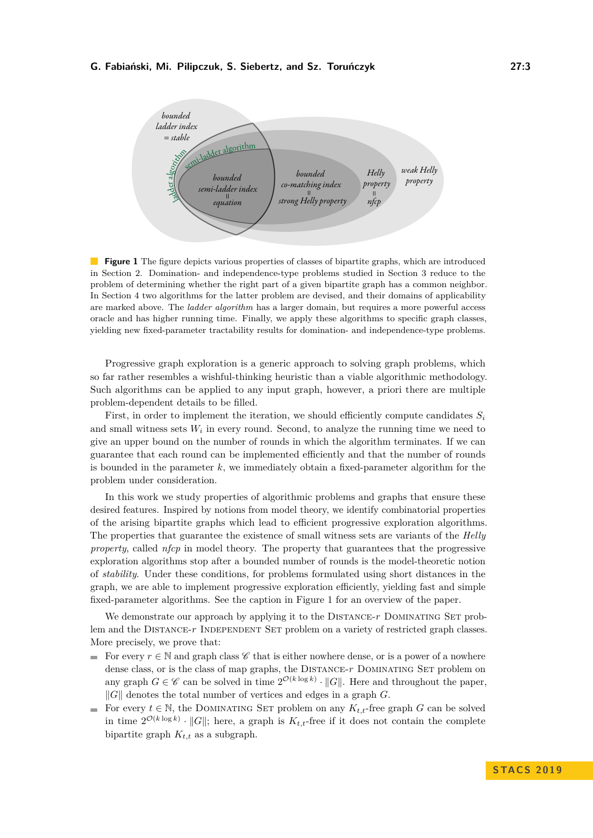<span id="page-2-0"></span>

**Figure 1** The figure depicts various properties of classes of bipartite graphs, which are introduced in Section [2.](#page-3-0) Domination- and independence-type problems studied in Section [3](#page-6-0) reduce to the problem of determining whether the right part of a given bipartite graph has a common neighbor. In Section [4](#page-10-0) two algorithms for the latter problem are devised, and their domains of applicability are marked above. The *ladder algorithm* has a larger domain, but requires a more powerful access oracle and has higher running time. Finally, we apply these algorithms to specific graph classes, yielding new fixed-parameter tractability results for domination- and independence-type problems.

Progressive graph exploration is a generic approach to solving graph problems, which so far rather resembles a wishful-thinking heuristic than a viable algorithmic methodology. Such algorithms can be applied to any input graph, however, a priori there are multiple problem-dependent details to be filled.

First, in order to implement the iteration, we should efficiently compute candidates *S<sup>i</sup>* and small witness sets  $W_i$  in every round. Second, to analyze the running time we need to give an upper bound on the number of rounds in which the algorithm terminates. If we can guarantee that each round can be implemented efficiently and that the number of rounds is bounded in the parameter *k*, we immediately obtain a fixed-parameter algorithm for the problem under consideration.

In this work we study properties of algorithmic problems and graphs that ensure these desired features. Inspired by notions from model theory, we identify combinatorial properties of the arising bipartite graphs which lead to efficient progressive exploration algorithms. The properties that guarantee the existence of small witness sets are variants of the *Helly property*, called *nfcp* in model theory. The property that guarantees that the progressive exploration algorithms stop after a bounded number of rounds is the model-theoretic notion of *stability*. Under these conditions, for problems formulated using short distances in the graph, we are able to implement progressive exploration efficiently, yielding fast and simple fixed-parameter algorithms. See the caption in Figure [1](#page-2-0) for an overview of the paper.

We demonstrate our approach by applying it to the DISTANCE-r DOMINATING SET problem and the DISTANCE- $r$  INDEPENDENT SET problem on a variety of restricted graph classes. More precisely, we prove that:

- For every  $r \in \mathbb{N}$  and graph class C that is either nowhere dense, or is a power of a nowhere dense class, or is the class of map graphs, the DISTANCE- $r$  DOMINATING SET problem on any graph  $G \in \mathscr{C}$  can be solved in time  $2^{\mathcal{O}(k \log k)} \cdot ||G||$ . Here and throughout the paper,  $\|G\|$  denotes the total number of vertices and edges in a graph *G*.
- For every  $t \in \mathbb{N}$ , the DOMINATING SET problem on any  $K_{t,t}$ -free graph G can be solved in time  $2^{\mathcal{O}(k \log k)} \cdot ||G||$ ; here, a graph is  $K_{t,t}$ -free if it does not contain the complete bipartite graph  $K_{t,t}$  as a subgraph.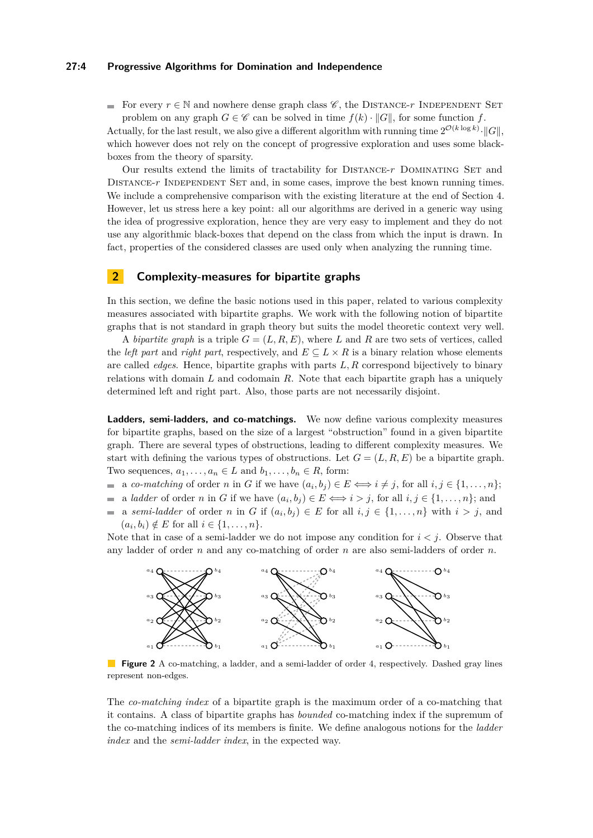#### **27:4 Progressive Algorithms for Domination and Independence**

For every  $r \in \mathbb{N}$  and nowhere dense graph class  $\mathscr{C}$ , the DISTANCE-*r* INDEPENDENT SET problem on any graph  $G \in \mathscr{C}$  can be solved in time  $f(k) \cdot ||G||$ , for some function *f*.

Actually, for the last result, we also give a different algorithm with running time  $2^{\mathcal{O}(k \log k)} \cdot ||G||$ , which however does not rely on the concept of progressive exploration and uses some blackboxes from the theory of sparsity.

Our results extend the limits of tractability for DISTANCE-*r* DOMINATING SET and DISTANCE-*r* INDEPENDENT SET and, in some cases, improve the best known running times. We include a comprehensive comparison with the existing literature at the end of Section [4.](#page-10-0) However, let us stress here a key point: all our algorithms are derived in a generic way using the idea of progressive exploration, hence they are very easy to implement and they do not use any algorithmic black-boxes that depend on the class from which the input is drawn. In fact, properties of the considered classes are used only when analyzing the running time.

# <span id="page-3-0"></span>**2 Complexity-measures for bipartite graphs**

In this section, we define the basic notions used in this paper, related to various complexity measures associated with bipartite graphs. We work with the following notion of bipartite graphs that is not standard in graph theory but suits the model theoretic context very well.

A *bipartite graph* is a triple  $G = (L, R, E)$ , where L and R are two sets of vertices, called the *left part* and *right part*, respectively, and  $E \subseteq L \times R$  is a binary relation whose elements are called *edges*. Hence, bipartite graphs with parts *L, R* correspond bijectively to binary relations with domain *L* and codomain *R*. Note that each bipartite graph has a uniquely determined left and right part. Also, those parts are not necessarily disjoint.

**Ladders, semi-ladders, and co-matchings.** We now define various complexity measures for bipartite graphs, based on the size of a largest "obstruction" found in a given bipartite graph. There are several types of obstructions, leading to different complexity measures. We start with defining the various types of obstructions. Let  $G = (L, R, E)$  be a bipartite graph. Two sequences,  $a_1, \ldots, a_n \in L$  and  $b_1, \ldots, b_n \in R$ , form:

- a *co-matching* of order *n* in *G* if we have  $(a_i, b_j) \in E \iff i \neq j$ , for all  $i, j \in \{1, \ldots, n\};$
- a *ladder* of order *n* in *G* if we have  $(a_i, b_j) \in E \Longleftrightarrow i > j$ , for all  $i, j \in \{1, \ldots, n\}$ ; and  $\mathcal{L}_{\mathcal{A}}$
- $\equiv$ a *semi-ladder* of order *n* in *G* if  $(a_i, b_j) \in E$  for all  $i, j \in \{1, \ldots, n\}$  with  $i > j$ , and  $(a_i, b_i) \notin E$  for all  $i \in \{1, ..., n\}.$

Note that in case of a semi-ladder we do not impose any condition for  $i < j$ . Observe that any ladder of order *n* and any co-matching of order *n* are also semi-ladders of order *n*.



**Figure 2** A co-matching, a ladder, and a semi-ladder of order 4, respectively. Dashed gray lines represent non-edges.

The *co-matching index* of a bipartite graph is the maximum order of a co-matching that it contains. A class of bipartite graphs has *bounded* co-matching index if the supremum of the co-matching indices of its members is finite. We define analogous notions for the *ladder index* and the *semi-ladder index*, in the expected way.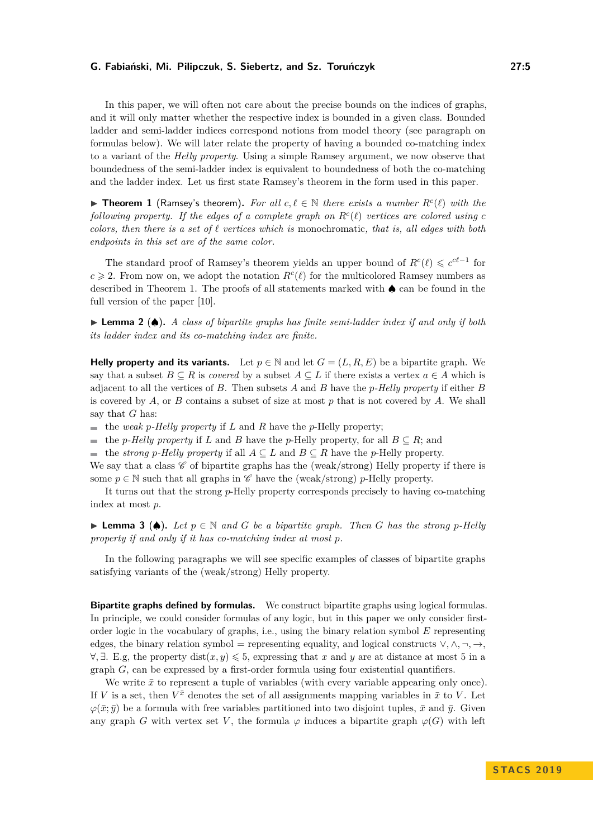In this paper, we will often not care about the precise bounds on the indices of graphs, and it will only matter whether the respective index is bounded in a given class. Bounded ladder and semi-ladder indices correspond notions from model theory (see paragraph on formulas below). We will later relate the property of having a bounded co-matching index to a variant of the *Helly property*. Using a simple Ramsey argument, we now observe that boundedness of the semi-ladder index is equivalent to boundedness of both the co-matching and the ladder index. Let us first state Ramsey's theorem in the form used in this paper.

<span id="page-4-0"></span>▶ **Theorem 1** (Ramsey's theorem). For all  $c, \ell \in \mathbb{N}$  there exists a number  $R<sup>c</sup>(\ell)$  with the *following property.* If the edges of a complete graph on  $R<sup>c</sup>(\ell)$  vertices are colored using c *colors, then there is a set of*  $\ell$  *vertices which is* monochromatic, that is, all edges with both *endpoints in this set are of the same color.*

The standard proof of Ramsey's theorem yields an upper bound of  $R^c(\ell) \leq c^{c\ell-1}$  for  $c \geq 2$ . From now on, we adopt the notation  $R<sup>c</sup>(\ell)$  for the multicolored Ramsey numbers as described in Theorem [1.](#page-4-0) The proofs of all statements marked with ♠ can be found in the full version of the paper [\[10\]](#page-14-0).

<span id="page-4-1"></span>I **Lemma 2** (♠)**.** *A class of bipartite graphs has finite semi-ladder index if and only if both its ladder index and its co-matching index are finite.*

**Helly property and its variants.** Let  $p \in \mathbb{N}$  and let  $G = (L, R, E)$  be a bipartite graph. We say that a subset  $B \subseteq R$  is *covered* by a subset  $A \subseteq L$  if there exists a vertex  $a \in A$  which is adjacent to all the vertices of *B*. Then subsets *A* and *B* have the *p-Helly property* if either *B* is covered by *A*, or *B* contains a subset of size at most *p* that is not covered by *A*. We shall say that *G* has:

 $\blacksquare$  the *weak p*-*Helly property* if *L* and *R* have the *p*-Helly property;

■ the *p*-Helly property if *L* and *B* have the *p*-Helly property, for all  $B \subseteq R$ ; and

■ the *strong p*-Helly property if all  $A ⊆ L$  and  $B ⊆ R$  have the *p*-Helly property.

We say that a class  $\mathscr C$  of bipartite graphs has the (weak/strong) Helly property if there is some  $p \in \mathbb{N}$  such that all graphs in  $\mathscr C$  have the (weak/strong) *p*-Helly property.

It turns out that the strong *p*-Helly property corresponds precisely to having co-matching index at most *p*.

<span id="page-4-2"></span>**► Lemma 3** (◆). Let  $p \in \mathbb{N}$  and  $G$  be a bipartite graph. Then  $G$  has the strong  $p$ -Helly *property if and only if it has co-matching index at most p.*

In the following paragraphs we will see specific examples of classes of bipartite graphs satisfying variants of the (weak/strong) Helly property.

**Bipartite graphs defined by formulas.** We construct bipartite graphs using logical formulas. In principle, we could consider formulas of any logic, but in this paper we only consider firstorder logic in the vocabulary of graphs, i.e., using the binary relation symbol *E* representing edges, the binary relation symbol = representing equality, and logical constructs  $\vee, \wedge, \neg, \rightarrow,$  $\forall$ ,  $\exists$ . E.g, the property dist $(x, y)$  ≤ 5, expressing that *x* and *y* are at distance at most 5 in a graph *G*, can be expressed by a first-order formula using four existential quantifiers.

We write  $\bar{x}$  to represent a tuple of variables (with every variable appearing only once). If *V* is a set, then  $V^{\bar{x}}$  denotes the set of all assignments mapping variables in  $\bar{x}$  to *V*. Let  $\varphi(\bar{x}; \bar{y})$  be a formula with free variables partitioned into two disjoint tuples,  $\bar{x}$  and  $\bar{y}$ . Given any graph *G* with vertex set *V*, the formula  $\varphi$  induces a bipartite graph  $\varphi(G)$  with left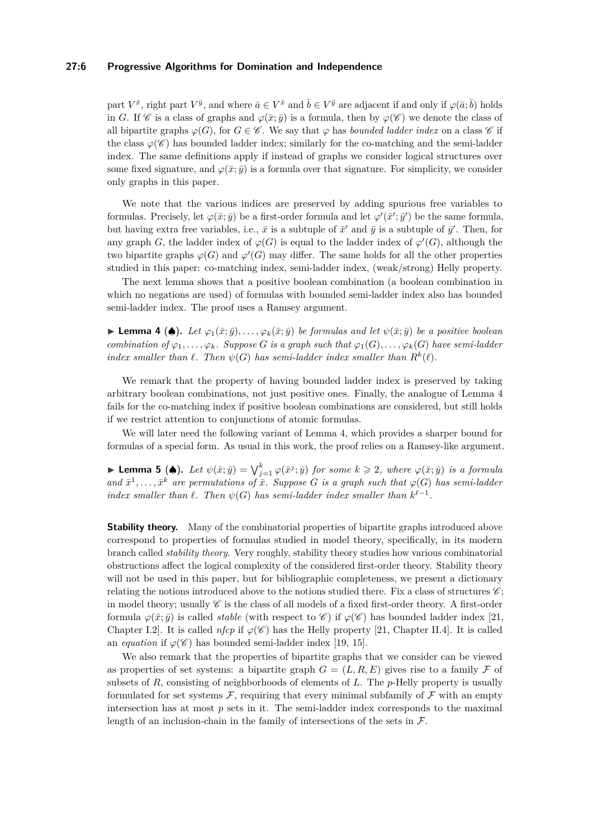## **27:6 Progressive Algorithms for Domination and Independence**

part  $V^{\bar{x}}$ , right part  $V^{\bar{y}}$ , and where  $\bar{a} \in V^{\bar{x}}$  and  $\bar{b} \in V^{\bar{y}}$  are adjacent if and only if  $\varphi(\bar{a}; \bar{b})$  holds in *G*. If  $\mathscr C$  is a class of graphs and  $\varphi(\bar x;\bar y)$  is a formula, then by  $\varphi(\mathscr C)$  we denote the class of all bipartite graphs  $\varphi(G)$ , for  $G \in \mathscr{C}$ . We say that  $\varphi$  has *bounded ladder index* on a class  $\mathscr{C}$  if the class  $\varphi(\mathscr{C})$  has bounded ladder index; similarly for the co-matching and the semi-ladder index. The same definitions apply if instead of graphs we consider logical structures over some fixed signature, and  $\varphi(\bar{x}; \bar{y})$  is a formula over that signature. For simplicity, we consider only graphs in this paper.

We note that the various indices are preserved by adding spurious free variables to formulas. Precisely, let  $\varphi(\bar{x}; \bar{y})$  be a first-order formula and let  $\varphi'(\bar{x}'; \bar{y}')$  be the same formula, but having extra free variables, i.e.,  $\bar{x}$  is a subtuple of  $\bar{x}'$  and  $\bar{y}$  is a subtuple of  $\bar{y}'$ . Then, for any graph *G*, the ladder index of  $\varphi(G)$  is equal to the ladder index of  $\varphi'(G)$ , although the two bipartite graphs  $\varphi(G)$  and  $\varphi'(G)$  may differ. The same holds for all the other properties studied in this paper: co-matching index, semi-ladder index, (weak/strong) Helly property.

The next lemma shows that a positive boolean combination (a boolean combination in which no negations are used) of formulas with bounded semi-ladder index also has bounded semi-ladder index. The proof uses a Ramsey argument.

<span id="page-5-0"></span>► **Lemma 4 (♠).** *Let*  $\varphi_1(\bar{x}; \bar{y}), \ldots, \varphi_k(\bar{x}; \bar{y})$  *be formulas and let*  $\psi(\bar{x}; \bar{y})$  *be a positive boolean combination of*  $\varphi_1, \ldots, \varphi_k$ *. Suppose G is a graph such that*  $\varphi_1(G), \ldots, \varphi_k(G)$  *have semi-ladder index smaller than*  $\ell$ *. Then*  $\psi(G)$  *has semi-ladder index smaller than*  $R^k(\ell)$ *.* 

We remark that the property of having bounded ladder index is preserved by taking arbitrary boolean combinations, not just positive ones. Finally, the analogue of Lemma [4](#page-5-0) fails for the co-matching index if positive boolean combinations are considered, but still holds if we restrict attention to conjunctions of atomic formulas.

We will later need the following variant of Lemma [4,](#page-5-0) which provides a sharper bound for formulas of a special form. As usual in this work, the proof relies on a Ramsey-like argument.

<span id="page-5-1"></span>**Lemma 5 (4).** Let  $\psi(\bar{x}; \bar{y}) = \bigvee_{j=1}^{k} \varphi(\bar{x}^{j}; \bar{y})$  for some  $k \geq 2$ , where  $\varphi(\bar{x}; \bar{y})$  is a formula and  $\bar{x}^1, \ldots, \bar{x}^k$  are permutations of  $\bar{x}$ . Suppose *G* is a graph such that  $\varphi(G)$  has semi-ladder *index smaller than*  $\ell$ . Then  $\psi(G)$  has semi-ladder index smaller than  $k^{\ell-1}$ .

**Stability theory.** Many of the combinatorial properties of bipartite graphs introduced above correspond to properties of formulas studied in model theory, specifically, in its modern branch called *stability theory*. Very roughly, stability theory studies how various combinatorial obstructions affect the logical complexity of the considered first-order theory. Stability theory will not be used in this paper, but for bibliographic completeness, we present a dictionary relating the notions introduced above to the notions studied there. Fix a class of structures  $\mathscr{C}$ ; in model theory; usually  $\mathscr C$  is the class of all models of a fixed first-order theory. A first-order formula  $\varphi(\bar{x}; \bar{y})$  is called *stable* (with respect to  $\mathscr{C}$ ) if  $\varphi(\mathscr{C})$  has bounded ladder index [\[21,](#page-15-3) Chapter I.2]. It is called *nfcp* if  $\varphi(\mathscr{C})$  has the Helly property [\[21,](#page-15-3) Chapter II.4]. It is called an *equation* if  $\varphi(\mathscr{C})$  has bounded semi-ladder index [\[19,](#page-15-4) [15\]](#page-15-5).

We also remark that the properties of bipartite graphs that we consider can be viewed as properties of set systems: a bipartite graph  $G = (L, R, E)$  gives rise to a family F of subsets of *R*, consisting of neighborhoods of elements of *L*. The *p*-Helly property is usually formulated for set systems  $\mathcal F$ , requiring that every minimal subfamily of  $\mathcal F$  with an empty intersection has at most  $p$  sets in it. The semi-ladder index corresponds to the maximal length of an inclusion-chain in the family of intersections of the sets in  $\mathcal{F}$ .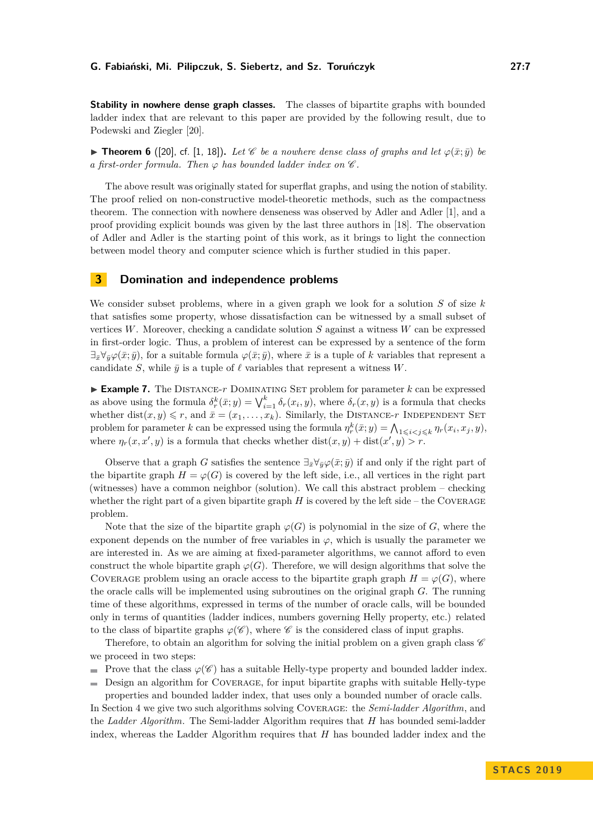**Stability in nowhere dense graph classes.** The classes of bipartite graphs with bounded ladder index that are relevant to this paper are provided by the following result, due to Podewski and Ziegler [\[20\]](#page-15-6).

<span id="page-6-2"></span>**► Theorem 6** ([\[20\]](#page-15-6), cf. [\[1,](#page-14-6) [18\]](#page-15-7)). Let  $\mathscr C$  be a nowhere dense class of graphs and let  $\varphi(\bar x;\bar y)$  be *a* first-order formula. Then  $\varphi$  has bounded ladder index on  $\mathscr C$ .

The above result was originally stated for superflat graphs, and using the notion of stability. The proof relied on non-constructive model-theoretic methods, such as the compactness theorem. The connection with nowhere denseness was observed by Adler and Adler [\[1\]](#page-14-6), and a proof providing explicit bounds was given by the last three authors in [\[18\]](#page-15-7). The observation of Adler and Adler is the starting point of this work, as it brings to light the connection between model theory and computer science which is further studied in this paper.

## <span id="page-6-0"></span>**3 Domination and independence problems**

We consider subset problems, where in a given graph we look for a solution *S* of size *k* that satisfies some property, whose dissatisfaction can be witnessed by a small subset of vertices *W*. Moreover, checking a candidate solution *S* against a witness *W* can be expressed in first-order logic. Thus, a problem of interest can be expressed by a sentence of the form  $\exists_{\bar{x}} \forall_{\bar{y}} \varphi(\bar{x}; \bar{y})$ , for a suitable formula  $\varphi(\bar{x}; \bar{y})$ , where  $\bar{x}$  is a tuple of *k* variables that represent a candidate *S*, while  $\bar{y}$  is a tuple of  $\ell$  variables that represent a witness *W*.

<span id="page-6-1"></span> $\triangleright$  **Example 7.** The DISTANCE- $r$  DOMINATING SET problem for parameter  $k$  can be expressed as above using the formula  $\delta_r^k(\bar{x}; y) = \bigvee_{i=1}^k \delta_r(x_i, y)$ , where  $\delta_r(x, y)$  is a formula that checks whether dist $(x, y) \leq r$ , and  $\bar{x} = (x_1, \ldots, x_k)$ . Similarly, the DISTANCE-*r* INDEPENDENT SET problem for parameter *k* can be expressed using the formula  $\eta_r^k(\bar{x}; y) = \bigwedge_{1 \leqslant i < j \leqslant k} \eta_r(x_i, x_j, y)$ , where  $\eta_r(x, x', y)$  is a formula that checks whether  $dist(x, y) + dist(x', y) > r$ .

Observe that a graph *G* satisfies the sentence  $\exists_{\bar{x}} \forall_{\bar{y}} \varphi(\bar{x}; \bar{y})$  if and only if the right part of the bipartite graph  $H = \varphi(G)$  is covered by the left side, i.e., all vertices in the right part (witnesses) have a common neighbor (solution). We call this abstract problem – checking whether the right part of a given bipartite graph  $H$  is covered by the left side – the COVERAGE problem.

Note that the size of the bipartite graph  $\varphi(G)$  is polynomial in the size of *G*, where the exponent depends on the number of free variables in  $\varphi$ , which is usually the parameter we are interested in. As we are aiming at fixed-parameter algorithms, we cannot afford to even construct the whole bipartite graph  $\varphi(G)$ . Therefore, we will design algorithms that solve the COVERAGE problem using an oracle access to the bipartite graph graph  $H = \varphi(G)$ , where the oracle calls will be implemented using subroutines on the original graph *G*. The running time of these algorithms, expressed in terms of the number of oracle calls, will be bounded only in terms of quantities (ladder indices, numbers governing Helly property, etc.) related to the class of bipartite graphs  $\varphi(\mathscr{C})$ , where  $\mathscr{C}$  is the considered class of input graphs.

Therefore, to obtain an algorithm for solving the initial problem on a given graph class  $\mathscr C$ we proceed in two steps:

Prove that the class  $\varphi(\mathscr{C})$  has a suitable Helly-type property and bounded ladder index.

Design an algorithm for Coverage, for input bipartite graphs with suitable Helly-type

properties and bounded ladder index, that uses only a bounded number of oracle calls. In Section [4](#page-10-0) we give two such algorithms solving Coverage: the *Semi-ladder Algorithm*, and the *Ladder Algorithm*. The Semi-ladder Algorithm requires that *H* has bounded semi-ladder index, whereas the Ladder Algorithm requires that *H* has bounded ladder index and the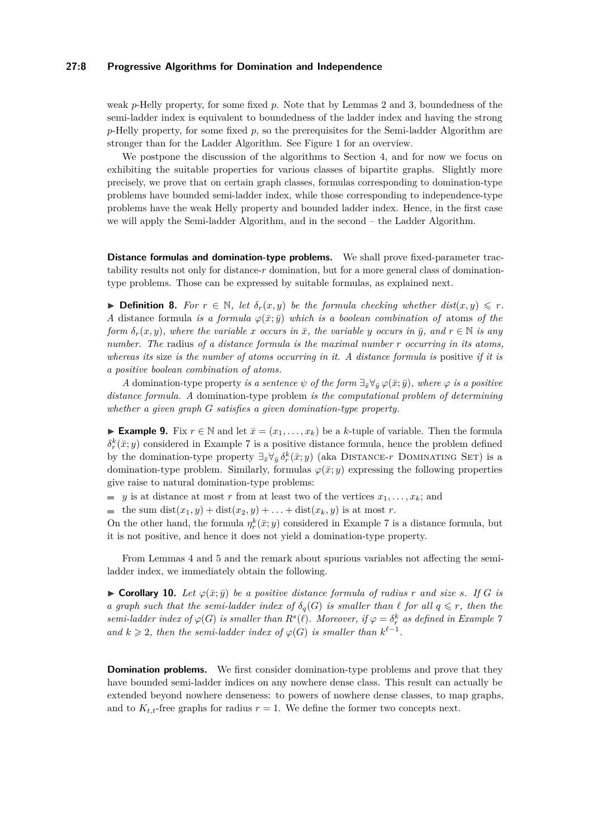## **27:8 Progressive Algorithms for Domination and Independence**

weak *p*-Helly property, for some fixed *p*. Note that by Lemmas [2](#page-4-1) and [3,](#page-4-2) boundedness of the semi-ladder index is equivalent to boundedness of the ladder index and having the strong *p*-Helly property, for some fixed *p*, so the prerequisites for the Semi-ladder Algorithm are stronger than for the Ladder Algorithm. See Figure [1](#page-2-0) for an overview.

We postpone the discussion of the algorithms to Section [4,](#page-10-0) and for now we focus on exhibiting the suitable properties for various classes of bipartite graphs. Slightly more precisely, we prove that on certain graph classes, formulas corresponding to domination-type problems have bounded semi-ladder index, while those corresponding to independence-type problems have the weak Helly property and bounded ladder index. Hence, in the first case we will apply the Semi-ladder Algorithm, and in the second – the Ladder Algorithm.

**Distance formulas and domination-type problems.** We shall prove fixed-parameter tractability results not only for distance-*r* domination, but for a more general class of dominationtype problems. Those can be expressed by suitable formulas, as explained next.

▶ **Definition 8.** *For*  $r \in \mathbb{N}$ , *let*  $\delta_r(x, y)$  *be the formula checking whether dist*(*x, y*)  $\leq r$ *. A* distance formula *is a formula*  $\varphi(\bar{x}; \bar{y})$  *which is a boolean combination of* atoms *of the form*  $\delta_r(x, y)$ , where the variable *x occurs* in  $\bar{x}$ , the variable *y occurs* in  $\bar{y}$ , and  $r \in \mathbb{N}$  is any *number. The* radius *of a distance formula is the maximal number r occurring in its atoms, whereas its* size *is the number of atoms occurring in it. A distance formula is* positive *if it is a positive boolean combination of atoms.*

*A* domination-type property *is a sentence*  $\psi$  *of the form*  $\exists_{\bar{x}} \forall_{\bar{y}} \varphi(\bar{x}; \bar{y})$ *, where*  $\varphi$  *is a positive distance formula. A* domination-type problem *is the computational problem of determining whether a given graph G satisfies a given domination-type property.*

► **Example 9.** Fix  $r \in \mathbb{N}$  and let  $\bar{x} = (x_1, \ldots, x_k)$  be a *k*-tuple of variable. Then the formula  $\delta_r^k(\bar{x}; y)$  considered in Example [7](#page-6-1) is a positive distance formula, hence the problem defined by the domination-type property  $\exists_{\bar{x}} \forall_{\bar{y}} \delta^k_r(\bar{x}; y)$  (aka DISTANCE-*r* DOMINATING SET) is a domination-type problem. Similarly, formulas  $\varphi(\bar{x}; y)$  expressing the following properties give raise to natural domination-type problems:

*y* is at distance at most *r* from at least two of the vertices  $x_1, \ldots, x_k$ ; and

the sum  $dist(x_1, y) + dist(x_2, y) + \ldots + dist(x_k, y)$  is at most *r*.

On the other hand, the formula  $\eta_r^k(\bar{x}; y)$  considered in Example [7](#page-6-1) is a distance formula, but it is not positive, and hence it does not yield a domination-type property.

From Lemmas [4](#page-5-0) and [5](#page-5-1) and the remark about spurious variables not affecting the semiladder index, we immediately obtain the following.

<span id="page-7-0"></span>► **Corollary 10.** Let  $\varphi(\bar{x}; \bar{y})$  be a positive distance formula of radius r and size *s*. If *G* is *a graph such that the semi-ladder index of*  $\delta_q(G)$  *is smaller than*  $\ell$  *for all*  $q \leq r$ *, then the semi-ladder index of*  $\varphi(G)$  *is smaller than*  $R^s(\ell)$ *. Moreover, if*  $\varphi = \delta_r^k$  *as defined in Example* [7](#page-6-1) *and*  $k \geq 2$ , then the semi-ladder index of  $\varphi(G)$  is smaller than  $k^{\ell-1}$ .

**Domination problems.** We first consider domination-type problems and prove that they have bounded semi-ladder indices on any nowhere dense class. This result can actually be extended beyond nowhere denseness: to powers of nowhere dense classes, to map graphs, and to  $K_{t,t}$ -free graphs for radius  $r = 1$ . We define the former two concepts next.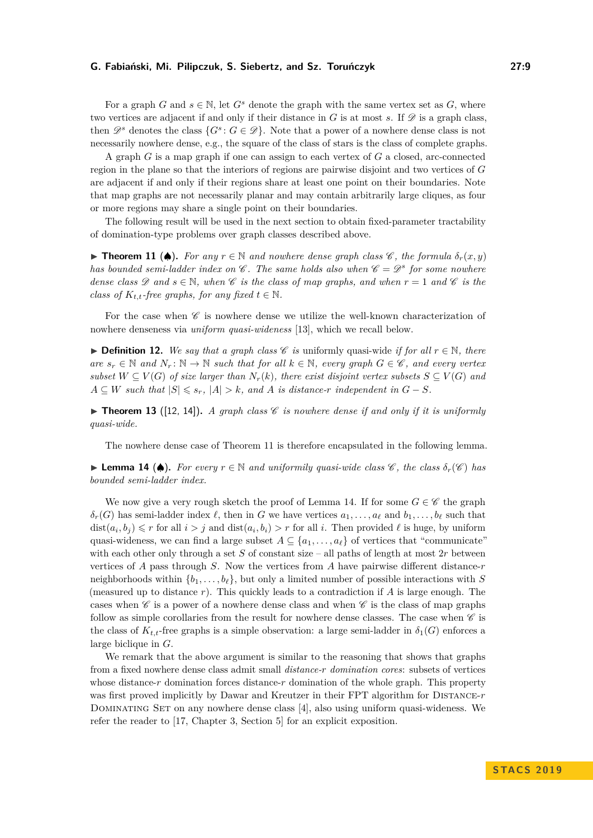For a graph *G* and  $s \in \mathbb{N}$ , let  $G^s$  denote the graph with the same vertex set as *G*, where two vertices are adjacent if and only if their distance in  $G$  is at most  $s$ . If  $\mathscr{D}$  is a graph class, then  $\mathscr{D}^s$  denotes the class  $\{G^s: G \in \mathscr{D}\}\$ . Note that a power of a nowhere dense class is not necessarily nowhere dense, e.g., the square of the class of stars is the class of complete graphs.

A graph *G* is a map graph if one can assign to each vertex of *G* a closed, arc-connected region in the plane so that the interiors of regions are pairwise disjoint and two vertices of *G* are adjacent if and only if their regions share at least one point on their boundaries. Note that map graphs are not necessarily planar and may contain arbitrarily large cliques, as four or more regions may share a single point on their boundaries.

The following result will be used in the next section to obtain fixed-parameter tractability of domination-type problems over graph classes described above.

<span id="page-8-0"></span>**► Theorem 11 (♦).** For any  $r \in \mathbb{N}$  and nowhere dense graph class  $\mathscr{C}$ , the formula  $\delta_r(x, y)$ *has bounded semi-ladder index on*  $\mathscr C$ *. The same holds also when*  $\mathscr C = \mathscr D^s$  for some nowhere *dense class*  $\mathscr{D}$  *and*  $s \in \mathbb{N}$ *, when*  $\mathscr{C}$  *is the class of map graphs, and when*  $r = 1$  *and*  $\mathscr{C}$  *is the class of*  $K_{t,t}$ *-free graphs, for any fixed*  $t \in \mathbb{N}$ *.* 

For the case when  $\mathscr C$  is nowhere dense we utilize the well-known characterization of nowhere denseness via *uniform quasi-wideness* [\[13\]](#page-15-8), which we recall below.

**► Definition 12.** We say that a graph class  $\mathscr C$  is uniformly quasi-wide *if for all*  $r \in \mathbb N$ *, there are*  $s_r$  ∈ N *and*  $N_r$ : N → N *such that for all*  $k$  ∈ N, *every graph*  $G$  ∈  $C$ *, and every vertex subset*  $W \subseteq V(G)$  *of size larger than*  $N_r(k)$ *, there exist disjoint vertex subsets*  $S \subseteq V(G)$  *and*  $A \subseteq W$  *such that*  $|S| \leq s_r$ ,  $|A| > k$ , and *A is distance-r independent in*  $G - S$ *.* 

 $\triangleright$  **Theorem 13** ([\[12,](#page-15-9) [14\]](#page-15-1)). A graph class  $\mathscr{C}$  is nowhere dense if and only if it is uniformly *quasi-wide.*

The nowhere dense case of Theorem [11](#page-8-0) is therefore encapsulated in the following lemma.

<span id="page-8-1"></span>**► Lemma 14 (♦).** For every  $r \in \mathbb{N}$  and uniformily quasi-wide class  $\mathscr{C}$ , the class  $\delta_r(\mathscr{C})$  has *bounded semi-ladder index.*

We now give a very rough sketch the proof of Lemma [14.](#page-8-1) If for some  $G \in \mathscr{C}$  the graph  $\delta_r(G)$  has semi-ladder index  $\ell$ , then in *G* we have vertices  $a_1, \ldots, a_\ell$  and  $b_1, \ldots, b_\ell$  such that  $dist(a_i, b_j) \leq r$  for all  $i > j$  and  $dist(a_i, b_i) > r$  for all *i*. Then provided  $\ell$  is huge, by uniform quasi-wideness, we can find a large subset  $A \subseteq \{a_1, \ldots, a_\ell\}$  of vertices that "communicate" with each other only through a set  $S$  of constant size – all paths of length at most  $2r$  between vertices of *A* pass through *S*. Now the vertices from *A* have pairwise different distance-*r* neighborhoods within  $\{b_1, \ldots, b_\ell\}$ , but only a limited number of possible interactions with *S* (measured up to distance *r*). This quickly leads to a contradiction if *A* is large enough. The cases when  $\mathscr C$  is a power of a nowhere dense class and when  $\mathscr C$  is the class of map graphs follow as simple corollaries from the result for nowhere dense classes. The case when  $\mathscr C$  is the class of  $K_{t,t}$ -free graphs is a simple observation: a large semi-ladder in  $\delta_1(G)$  enforces a large biclique in *G*.

We remark that the above argument is similar to the reasoning that shows that graphs from a fixed nowhere dense class admit small *distance-r domination cores*: subsets of vertices whose distance-*r* domination forces distance-*r* domination of the whole graph. This property was first proved implicitly by Dawar and Kreutzer in their FPT algorithm for Distance-*r* DOMINATING SET on any nowhere dense class [\[4\]](#page-14-7), also using uniform quasi-wideness. We refer the reader to [\[17,](#page-15-10) Chapter 3, Section 5] for an explicit exposition.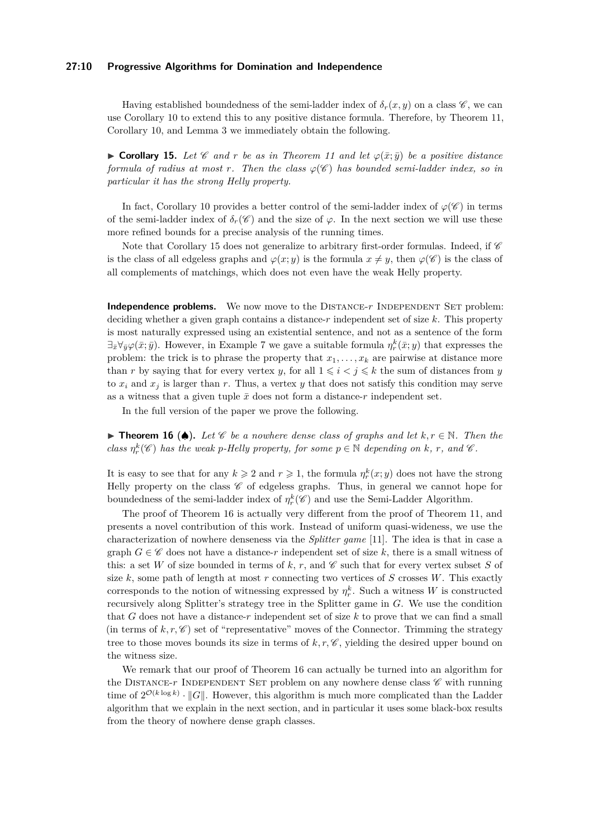#### **27:10 Progressive Algorithms for Domination and Independence**

Having established boundedness of the semi-ladder index of  $\delta_r(x, y)$  on a class  $\mathscr{C}$ , we can use Corollary [10](#page-7-0) to extend this to any positive distance formula. Therefore, by Theorem [11,](#page-8-0) Corollary [10,](#page-7-0) and Lemma [3](#page-4-2) we immediately obtain the following.

<span id="page-9-0"></span>► **Corollary 15.** Let  $\mathscr{C}$  and  $r$  be as in Theorem [11](#page-8-0) and let  $\varphi(\bar{x}; \bar{y})$  be a positive distance *formula of radius at most r.* Then the class  $\varphi(\mathscr{C})$  has bounded semi-ladder index, so in *particular it has the strong Helly property.*

In fact, Corollary [10](#page-7-0) provides a better control of the semi-ladder index of  $\varphi(\mathscr{C})$  in terms of the semi-ladder index of  $\delta_r(\mathscr{C})$  and the size of  $\varphi$ . In the next section we will use these more refined bounds for a precise analysis of the running times.

Note that Corollary [15](#page-9-0) does not generalize to arbitrary first-order formulas. Indeed, if  $\mathscr C$ is the class of all edgeless graphs and  $\varphi(x; y)$  is the formula  $x \neq y$ , then  $\varphi(\mathscr{C})$  is the class of all complements of matchings, which does not even have the weak Helly property.

**Independence problems.** We now move to the DISTANCE-r INDEPENDENT SET problem: deciding whether a given graph contains a distance-*r* independent set of size *k*. This property is most naturally expressed using an existential sentence, and not as a sentence of the form  $\exists_{\bar{x}} \forall_{\bar{y}} \varphi(\bar{x}; \bar{y})$ . However, in Example [7](#page-6-1) we gave a suitable formula  $\eta_r^k(\bar{x}; y)$  that expresses the problem: the trick is to phrase the property that  $x_1, \ldots, x_k$  are pairwise at distance more than *r* by saying that for every vertex *y*, for all  $1 \leq i \leq j \leq k$  the sum of distances from *y* to  $x_i$  and  $x_j$  is larger than r. Thus, a vertex y that does not satisfy this condition may serve as a witness that a given tuple  $\bar{x}$  does not form a distance- $r$  independent set.

In the full version of the paper we prove the following.

<span id="page-9-1"></span>**► Theorem 16 (♠).** Let  $\mathscr C$  be a nowhere dense class of graphs and let  $k, r \in \mathbb N$ . Then the *class*  $\eta_r^k(\mathscr{C})$  *has the weak p-Helly property, for some*  $p \in \mathbb{N}$  *depending on k, r, and*  $\mathscr{C}$ *.* 

It is easy to see that for any  $k \geqslant 2$  and  $r \geqslant 1$ , the formula  $\eta_r^k(x; y)$  does not have the strong Helly property on the class  $\mathscr C$  of edgeless graphs. Thus, in general we cannot hope for boundedness of the semi-ladder index of  $\eta_r^k(\mathscr{C})$  and use the Semi-Ladder Algorithm.

The proof of Theorem [16](#page-9-1) is actually very different from the proof of Theorem [11,](#page-8-0) and presents a novel contribution of this work. Instead of uniform quasi-wideness, we use the characterization of nowhere denseness via the *Splitter game* [\[11\]](#page-14-2). The idea is that in case a graph  $G \in \mathscr{C}$  does not have a distance-r independent set of size k, there is a small witness of this: a set *W* of size bounded in terms of  $k, r$ , and  $\mathscr C$  such that for every vertex subset *S* of size  $k$ , some path of length at most  $r$  connecting two vertices of  $S$  crosses  $W$ . This exactly corresponds to the notion of witnessing expressed by  $\eta_r^k$ . Such a witness *W* is constructed recursively along Splitter's strategy tree in the Splitter game in *G*. We use the condition that *G* does not have a distance-*r* independent set of size *k* to prove that we can find a small (in terms of  $k, r, \mathcal{C}$ ) set of "representative" moves of the Connector. Trimming the strategy tree to those moves bounds its size in terms of  $k, r, \mathcal{C}$ , yielding the desired upper bound on the witness size.

We remark that our proof of Theorem [16](#page-9-1) can actually be turned into an algorithm for the DISTANCE- $r$  INDEPENDENT SET problem on any nowhere dense class  $\mathscr C$  with running time of  $2^{\mathcal{O}(k \log k)} \cdot ||G||$ . However, this algorithm is much more complicated than the Ladder algorithm that we explain in the next section, and in particular it uses some black-box results from the theory of nowhere dense graph classes.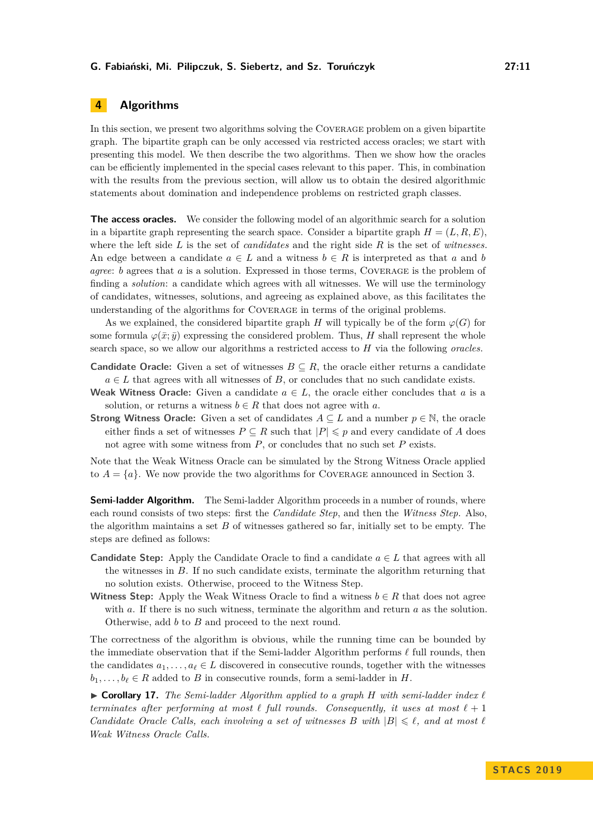# <span id="page-10-0"></span>**4 Algorithms**

In this section, we present two algorithms solving the Coverage problem on a given bipartite graph. The bipartite graph can be only accessed via restricted access oracles; we start with presenting this model. We then describe the two algorithms. Then we show how the oracles can be efficiently implemented in the special cases relevant to this paper. This, in combination with the results from the previous section, will allow us to obtain the desired algorithmic statements about domination and independence problems on restricted graph classes.

**The access oracles.** We consider the following model of an algorithmic search for a solution in a bipartite graph representing the search space. Consider a bipartite graph  $H = (L, R, E)$ , where the left side *L* is the set of *candidates* and the right side *R* is the set of *witnesses*. An edge between a candidate  $a \in L$  and a witness  $b \in R$  is interpreted as that a and b *agree*: *b* agrees that *a* is a solution. Expressed in those terms, COVERAGE is the problem of finding a *solution*: a candidate which agrees with all witnesses. We will use the terminology of candidates, witnesses, solutions, and agreeing as explained above, as this facilitates the understanding of the algorithms for Coverage in terms of the original problems.

As we explained, the considered bipartite graph *H* will typically be of the form  $\varphi(G)$  for some formula  $\varphi(\bar{x}; \bar{y})$  expressing the considered problem. Thus, *H* shall represent the whole search space, so we allow our algorithms a restricted access to *H* via the following *oracles*.

- **Candidate Oracle:** Given a set of witnesses  $B \subseteq R$ , the oracle either returns a candidate  $a \in L$  that agrees with all witnesses of *B*, or concludes that no such candidate exists.
- **Weak Witness Oracle:** Given a candidate  $a \in L$ , the oracle either concludes that a is a solution, or returns a witness  $b \in R$  that does not agree with *a*.
- **Strong Witness Oracle:** Given a set of candidates  $A \subseteq L$  and a number  $p \in \mathbb{N}$ , the oracle either finds a set of witnesses  $P \subseteq R$  such that  $|P| \leq p$  and every candidate of A does not agree with some witness from *P*, or concludes that no such set *P* exists.

Note that the Weak Witness Oracle can be simulated by the Strong Witness Oracle applied to  $A = \{a\}$ . We now provide the two algorithms for COVERAGE announced in Section [3.](#page-6-0)

**Semi-ladder Algorithm.** The Semi-ladder Algorithm proceeds in a number of rounds, where each round consists of two steps: first the *Candidate Step*, and then the *Witness Step*. Also, the algorithm maintains a set *B* of witnesses gathered so far, initially set to be empty. The steps are defined as follows:

- **Candidate Step:** Apply the Candidate Oracle to find a candidate  $a \in L$  that agrees with all the witnesses in *B*. If no such candidate exists, terminate the algorithm returning that no solution exists. Otherwise, proceed to the Witness Step.
- **Witness Step:** Apply the Weak Witness Oracle to find a witness  $b \in R$  that does not agree with *a*. If there is no such witness, terminate the algorithm and return *a* as the solution. Otherwise, add *b* to *B* and proceed to the next round.

The correctness of the algorithm is obvious, while the running time can be bounded by the immediate observation that if the Semi-ladder Algorithm performs  $\ell$  full rounds, then the candidates  $a_1, \ldots, a_\ell \in L$  discovered in consecutive rounds, together with the witnesses  $b_1, \ldots, b_\ell \in R$  added to *B* in consecutive rounds, form a semi-ladder in *H*.

<span id="page-10-1"></span> $\triangleright$  **Corollary 17.** The Semi-ladder Algorithm applied to a graph H with semi-ladder index  $\ell$ *terminates after performing at most*  $\ell$  *full rounds. Consequently, it uses at most*  $\ell + 1$ *Candidate Oracle Calls, each involving a set of witnesses B with*  $|B| \leq \ell$ *, and at most*  $\ell$ *Weak Witness Oracle Calls.*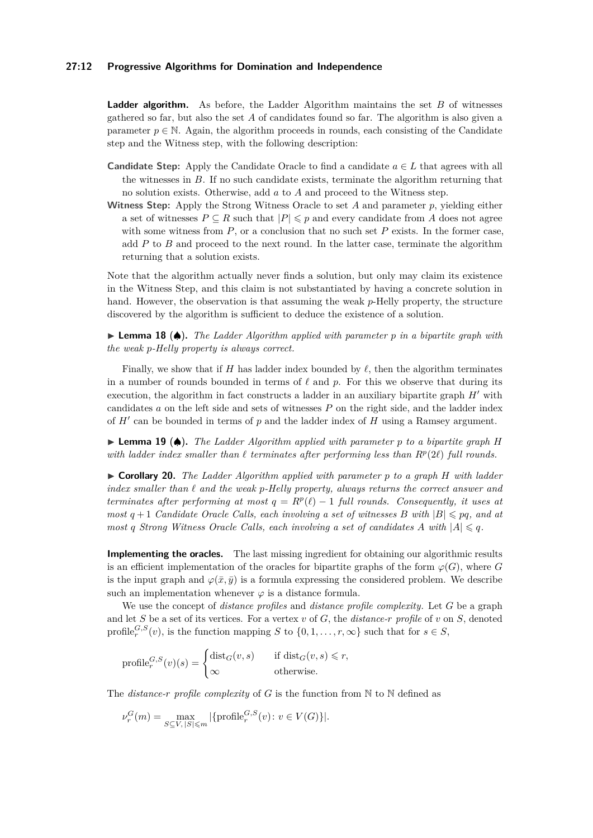#### **27:12 Progressive Algorithms for Domination and Independence**

**Ladder algorithm.** As before, the Ladder Algorithm maintains the set *B* of witnesses gathered so far, but also the set *A* of candidates found so far. The algorithm is also given a parameter  $p \in \mathbb{N}$ . Again, the algorithm proceeds in rounds, each consisting of the Candidate step and the Witness step, with the following description:

- **Candidate Step:** Apply the Candidate Oracle to find a candidate  $a \in L$  that agrees with all the witnesses in *B*. If no such candidate exists, terminate the algorithm returning that no solution exists. Otherwise, add *a* to *A* and proceed to the Witness step.
- **Witness Step:** Apply the Strong Witness Oracle to set *A* and parameter *p*, yielding either a set of witnesses  $P \subseteq R$  such that  $|P| \leq p$  and every candidate from *A* does not agree with some witness from  $P$ , or a conclusion that no such set  $P$  exists. In the former case, add *P* to *B* and proceed to the next round. In the latter case, terminate the algorithm returning that a solution exists.

Note that the algorithm actually never finds a solution, but only may claim its existence in the Witness Step, and this claim is not substantiated by having a concrete solution in hand. However, the observation is that assuming the weak *p*-Helly property, the structure discovered by the algorithm is sufficient to deduce the existence of a solution.

I **Lemma 18** (♠)**.** *The Ladder Algorithm applied with parameter p in a bipartite graph with the weak p-Helly property is always correct.*

Finally, we show that if *H* has ladder index bounded by  $\ell$ , then the algorithm terminates in a number of rounds bounded in terms of  $\ell$  and  $p$ . For this we observe that during its execution, the algorithm in fact constructs a ladder in an auxiliary bipartite graph  $H'$  with candidates *a* on the left side and sets of witnesses *P* on the right side, and the ladder index of  $H'$  can be bounded in terms of  $p$  and the ladder index of  $H$  using a Ramsey argument.

I **Lemma 19** (♠)**.** *The Ladder Algorithm applied with parameter p to a bipartite graph H* with ladder index smaller than  $\ell$  terminates after performing less than  $R^p(2\ell)$  full rounds.

<span id="page-11-0"></span>I **Corollary 20.** *The Ladder Algorithm applied with parameter p to a graph H with ladder index smaller than ` and the weak p-Helly property, always returns the correct answer and terminates after performing at most*  $q = R^p(\ell) - 1$  *full rounds. Consequently, it uses at most*  $q + 1$  *Candidate Oracle Calls, each involving a set of witnesses B with*  $|B| \leq pq$ , and at *most q Strong Witness Oracle Calls, each involving a set of candidates A with*  $|A| \leq q$ *.* 

**Implementing the oracles.** The last missing ingredient for obtaining our algorithmic results is an efficient implementation of the oracles for bipartite graphs of the form  $\varphi(G)$ , where *G* is the input graph and  $\varphi(\bar{x}, \bar{y})$  is a formula expressing the considered problem. We describe such an implementation whenever  $\varphi$  is a distance formula.

We use the concept of *distance profiles* and *distance profile complexity*. Let *G* be a graph and let *S* be a set of its vertices. For a vertex *v* of *G*, the *distance-r profile* of *v* on *S*, denoted profile<sub>r</sub><sup>*G*</sup>, $S$ </sup>(*v*), is the function mapping *S* to {0,1, ..., *r*,  $\infty$ } such that for *s*  $\in$  *S*,

$$
\text{profile}_{r}^{G,S}(v)(s) = \begin{cases} \text{dist}_{G}(v,s) & \text{if } \text{dist}_{G}(v,s) \leq r, \\ \infty & \text{otherwise.} \end{cases}
$$

The *distance-r profile complexity* of *G* is the function from N to N defined as

$$
\nu_r^G(m) = \max_{S \subseteq V, |S| \le m} |\{\text{profile}_r^{G,S}(v) \colon v \in V(G)\}|.
$$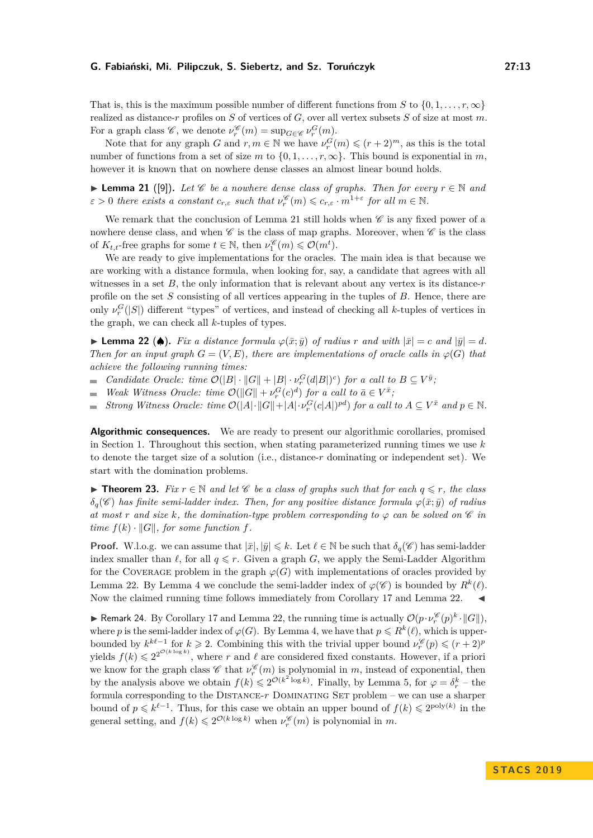That is, this is the maximum possible number of different functions from *S* to  $\{0, 1, \ldots, r, \infty\}$ realized as distance-*r* profiles on *S* of vertices of *G*, over all vertex subsets *S* of size at most *m*. For a graph class  $\mathscr{C}$ , we denote  $\nu_r^{\mathscr{C}}(m) = \sup_{G \in \mathscr{C}} \nu_r^G(m)$ .

Note that for any graph *G* and  $r, m \in \mathbb{N}$  we have  $\nu_r^G(m) \leqslant (r+2)^m$ , as this is the total number of functions from a set of size *m* to  $\{0, 1, \ldots, r, \infty\}$ . This bound is exponential in *m*, however it is known that on nowhere dense classes an almost linear bound holds.

<span id="page-12-0"></span>▶ **Lemma 21** ([\[9\]](#page-14-8)). Let  $\mathscr C$  be a nowhere dense class of graphs. Then for every  $r \in \mathbb N$  and  $\varepsilon > 0$  *there exists a constant*  $c_{r,\varepsilon}$  *such that*  $\nu_r^{\mathscr{C}}(m) \leqslant c_{r,\varepsilon} \cdot m^{1+\varepsilon}$  *for all*  $m \in \mathbb{N}$ *.* 

We remark that the conclusion of Lemma [21](#page-12-0) still holds when  $\mathscr C$  is any fixed power of a nowhere dense class, and when  $\mathscr C$  is the class of map graphs. Moreover, when  $\mathscr C$  is the class of  $K_{t,t}$ -free graphs for some  $t \in \mathbb{N}$ , then  $\nu_1^{\mathscr{C}}(m) \leq \mathcal{O}(m^t)$ .

We are ready to give implementations for the oracles. The main idea is that because we are working with a distance formula, when looking for, say, a candidate that agrees with all witnesses in a set  $B$ , the only information that is relevant about any vertex is its distance- $r$ profile on the set *S* consisting of all vertices appearing in the tuples of *B*. Hence, there are only  $\nu_r^G(|S|)$  different "types" of vertices, and instead of checking all *k*-tuples of vertices in the graph, we can check all *k*-tuples of types.

<span id="page-12-1"></span>▶ **Lemma 22 (♦).** *Fix a distance formula*  $\varphi(\bar{x}; \bar{y})$  *of radius r and with*  $|\bar{x}| = c$  *and*  $|\bar{y}| = d$ *. Then for an input graph*  $G = (V, E)$ *, there are implementations of oracle calls in*  $\varphi(G)$  *that achieve the following running times:*

- *Candidate Oracle: time*  $\mathcal{O}(|B| \cdot ||G|| + |B| \cdot \nu_r^G(d|B|)^c)$  *for a call to*  $B \subseteq V^{\bar{y}}$ *;*
- *Weak Witness Oracle: time*  $\mathcal{O}(\Vert G \Vert + \nu_r^G(c)^d)$  *for a call to*  $\bar{a} \in V^{\bar{x}}$ *;*  $\mathcal{L}_{\mathcal{A}}$
- *Strong Witness Oracle: time*  $\mathcal{O}(|A| \cdot ||G|| + |A| \cdot \nu_r^G(c|A|)^{pd})$  *for a call to*  $A \subseteq V^{\bar{x}}$  *and*  $p \in \mathbb{N}$ *.*  $\equiv$

**Algorithmic consequences.** We are ready to present our algorithmic corollaries, promised in Section [1.](#page-0-0) Throughout this section, when stating parameterized running times we use *k* to denote the target size of a solution (i.e., distance-*r* dominating or independent set). We start with the domination problems.

<span id="page-12-2"></span>**► Theorem 23.** Fix  $r \in \mathbb{N}$  and let  $\mathscr{C}$  be a class of graphs such that for each  $q \leq r$ , the class  $\delta_q(\mathscr{C})$  *has finite semi-ladder index. Then, for any positive distance formula*  $\varphi(\bar{x}; \bar{y})$  *of radius at most r and size k, the domination-type problem corresponding to*  $\varphi$  *can be solved on*  $\mathscr C$  *in time*  $f(k) \cdot ||G||$ *, for some function f.* 

**Proof.** W.l.o.g. we can assume that  $|\bar{x}|, |\bar{y}| \leq k$ . Let  $\ell \in \mathbb{N}$  be such that  $\delta_q(\mathscr{C})$  has semi-ladder index smaller than  $\ell$ , for all  $q \leq r$ . Given a graph *G*, we apply the Semi-Ladder Algorithm for the COVERAGE problem in the graph  $\varphi(G)$  with implementations of oracles provided by Lemma [22.](#page-12-1) By Lemma [4](#page-5-0) we conclude the semi-ladder index of  $\varphi(\mathscr{C})$  is bounded by  $R^k(\ell)$ . Now the claimed running time follows immediately from Corollary [17](#page-10-1) and Lemma [22.](#page-12-1)

**F** Remark 24. By Corollary [17](#page-10-1) and Lemma [22,](#page-12-1) the running time is actually  $\mathcal{O}(p \cdot \nu_r^{\mathscr{C}}(p)^k \cdot ||G||)$ , where *p* is the semi-ladder index of  $\varphi(G)$ . By Lemma [4,](#page-5-0) we have that  $p \leq R^k(\ell)$ , which is upperbounded by  $k^{k\ell-1}$  for  $k \geq 2$ . Combining this with the trivial upper bound  $\nu_r^{\mathscr{C}}(p) \leqslant (r+2)^p$ yields  $f(k) \leq 2^{2^{\mathcal{O}(k \log k)}}$ , where r and  $\ell$  are considered fixed constants. However, if a priori we know for the graph class  $\mathscr{C}$  that  $\nu_r^{\mathscr{C}}(m)$  is polynomial in *m*, instead of exponential, then by the analysis above we obtain  $f(k) \leq 2^{\mathcal{O}(k^2 \log k)}$ . Finally, by Lemma [5,](#page-5-1) for  $\varphi = \delta_r^k$  – the formula corresponding to the DISTANCE- $r$  DOMINATING SET problem – we can use a sharper bound of  $p \leq k^{\ell-1}$ . Thus, for this case we obtain an upper bound of  $f(k) \leq 2^{\text{poly}(k)}$  in the general setting, and  $f(k) \leq 2^{\mathcal{O}(k \log k)}$  when  $\nu_r^{\mathscr{C}}(m)$  is polynomial in *m*.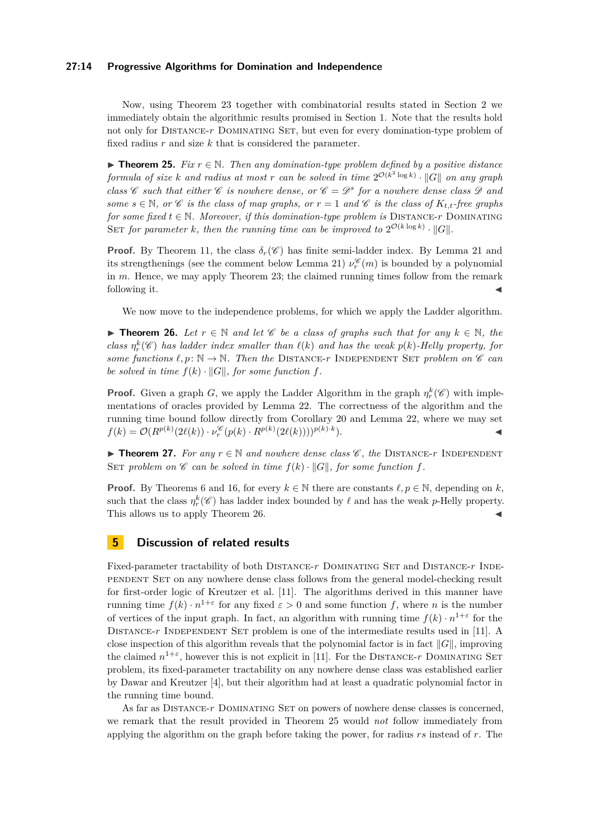#### **27:14 Progressive Algorithms for Domination and Independence**

Now, using Theorem [23](#page-12-2) together with combinatorial results stated in Section [2](#page-3-0) we immediately obtain the algorithmic results promised in Section [1.](#page-0-0) Note that the results hold not only for Distance-*r* Dominating Set, but even for every domination-type problem of fixed radius *r* and size *k* that is considered the parameter.

<span id="page-13-1"></span>**Figure 15.** Fix  $r \in \mathbb{N}$ . Then any domination-type problem defined by a positive distance *formula of size k and radius at most r can be solved in time*  $2^{\mathcal{O}(k^2 \log k)} \cdot ||G||$  *on any graph class*  $\mathscr C$  *such that either*  $\mathscr C$  *is nowhere dense, or*  $\mathscr C = \mathscr D^s$  *for a nowhere dense class*  $\mathscr D$  *and some*  $s \in \mathbb{N}$ , or C *is the class of map graphs, or*  $r = 1$  *and* C *is the class of*  $K_{t,t}$ -free graphs *for some fixed*  $t \in \mathbb{N}$ *. Moreover, if this domination-type problem is DISTANCE-r DOMINATING* SET for parameter *k*, then the running time can be improved to  $2^{\mathcal{O}(k \log k)} \cdot ||G||$ .

**Proof.** By Theorem [11,](#page-8-0) the class  $\delta_r(\mathscr{C})$  has finite semi-ladder index. By Lemma [21](#page-12-0) and its strengthenings (see the comment below Lemma [21\)](#page-12-0)  $\nu_r^{\mathscr{C}}(m)$  is bounded by a polynomial in *m*. Hence, we may apply Theorem [23;](#page-12-2) the claimed running times follow from the remark following it.  $\blacktriangleleft$ 

We now move to the independence problems, for which we apply the Ladder algorithm.

<span id="page-13-0"></span>**► Theorem 26.** Let  $r \in \mathbb{N}$  and let  $\mathscr{C}$  be a class of graphs such that for any  $k \in \mathbb{N}$ , the *class*  $\eta_r^k(\mathscr{C})$  *has ladder index smaller than*  $\ell(k)$  *and has the weak*  $p(k)$ *-Helly property, for some functions*  $\ell, p: \mathbb{N} \to \mathbb{N}$ *. Then the* DISTANCE-*r* INDEPENDENT SET *problem on*  $\mathscr{C}$  *can be solved in time*  $f(k) \cdot ||G||$ *, for some function*  $f$ *.* 

**Proof.** Given a graph *G*, we apply the Ladder Algorithm in the graph  $\eta_r^k(\mathscr{C})$  with implementations of oracles provided by Lemma [22.](#page-12-1) The correctness of the algorithm and the running time bound follow directly from Corollary [20](#page-11-0) and Lemma [22,](#page-12-1) where we may set  $f(k) = \mathcal{O}(R^{p(k)}(2\ell(k)) \cdot \nu_r^{\mathscr{C}}(p(k) \cdot R^{p(k)}(2\ell(k))))^{p(k) \cdot k}$  $\blacksquare$ ).

**► Theorem 27.** *For any*  $r \in \mathbb{N}$  *and nowhere dense class*  $\mathscr{C}$ *, the* DISTANCE-*r* INDEPENDENT SET problem on  $\mathscr C$  *can be solved in time*  $f(k) \cdot ||G||$ *, for some function*  $f$ *.* 

**Proof.** By Theorems [6](#page-6-2) and [16,](#page-9-1) for every  $k \in \mathbb{N}$  there are constants  $\ell, p \in \mathbb{N}$ , depending on k, such that the class  $\eta_r^k(\mathscr{C})$  has ladder index bounded by  $\ell$  and has the weak *p*-Helly property. This allows us to apply Theorem [26.](#page-13-0)

## **5 Discussion of related results**

Fixed-parameter tractability of both DISTANCE-r DOMINATING SET and DISTANCE-r INDEpendent Set on any nowhere dense class follows from the general model-checking result for first-order logic of Kreutzer et al. [\[11\]](#page-14-2). The algorithms derived in this manner have running time  $f(k) \cdot n^{1+\epsilon}$  for any fixed  $\epsilon > 0$  and some function f, where *n* is the number of vertices of the input graph. In fact, an algorithm with running time  $f(k) \cdot n^{1+\epsilon}$  for the DISTANCE- $r$  INDEPENDENT SET problem is one of the intermediate results used in [\[11\]](#page-14-2). A close inspection of this algorithm reveals that the polynomial factor is in fact  $||G||$ , improving the claimed  $n^{1+\varepsilon}$ , however this is not explicit in [\[11\]](#page-14-2). For the DISTANCE-*r* DOMINATING SET problem, its fixed-parameter tractability on any nowhere dense class was established earlier by Dawar and Kreutzer [\[4\]](#page-14-7), but their algorithm had at least a quadratic polynomial factor in the running time bound.

As far as DISTANCE-r DOMINATING SET on powers of nowhere dense classes is concerned, we remark that the result provided in Theorem [25](#page-13-1) would *not* follow immediately from applying the algorithm on the graph before taking the power, for radius *rs* instead of *r*. The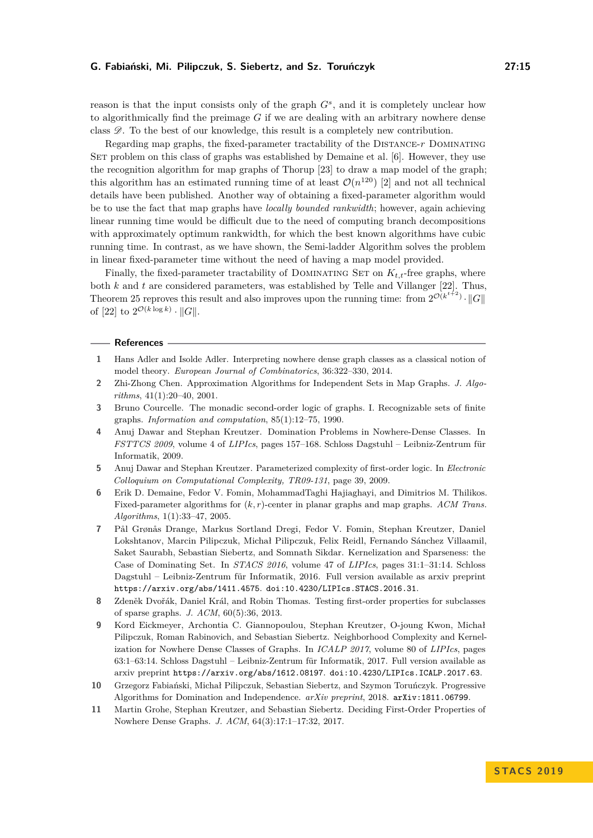reason is that the input consists only of the graph *G<sup>s</sup>* , and it is completely unclear how to algorithmically find the preimage *G* if we are dealing with an arbitrary nowhere dense class  $\mathscr{D}$ . To the best of our knowledge, this result is a completely new contribution.

Regarding map graphs, the fixed-parameter tractability of the Distance-*r* Dominating SET problem on this class of graphs was established by Demaine et al. [\[6\]](#page-14-9). However, they use the recognition algorithm for map graphs of Thorup [\[23\]](#page-15-11) to draw a map model of the graph; this algorithm has an estimated running time of at least  $\mathcal{O}(n^{120})$  [\[2\]](#page-14-10) and not all technical details have been published. Another way of obtaining a fixed-parameter algorithm would be to use the fact that map graphs have *locally bounded rankwidth*; however, again achieving linear running time would be difficult due to the need of computing branch decompositions with approximately optimum rankwidth, for which the best known algorithms have cubic running time. In contrast, as we have shown, the Semi-ladder Algorithm solves the problem in linear fixed-parameter time without the need of having a map model provided.

Finally, the fixed-parameter tractability of DOMINATING SET on  $K_{t,t}$ -free graphs, where both *k* and *t* are considered parameters, was established by Telle and Villanger [\[22\]](#page-15-12). Thus, Theorem [25](#page-13-1) reproves this result and also improves upon the running time: from  $2^{\mathcal{O}(k^{t+2})} \cdot ||G||$ of [\[22\]](#page-15-12) to  $2^{\mathcal{O}(k \log k)} \cdot ||G||$ .

#### **References**

- <span id="page-14-6"></span>**1** Hans Adler and Isolde Adler. Interpreting nowhere dense graph classes as a classical notion of model theory. *European Journal of Combinatorics*, 36:322–330, 2014.
- <span id="page-14-10"></span>**2** Zhi-Zhong Chen. Approximation Algorithms for Independent Sets in Map Graphs. *J. Algorithms*, 41(1):20–40, 2001.
- <span id="page-14-1"></span>**3** Bruno Courcelle. The monadic second-order logic of graphs. I. Recognizable sets of finite graphs. *Information and computation*, 85(1):12–75, 1990.
- <span id="page-14-7"></span>**4** Anuj Dawar and Stephan Kreutzer. Domination Problems in Nowhere-Dense Classes. In *FSTTCS 2009*, volume 4 of *LIPIcs*, pages 157–168. Schloss Dagstuhl – Leibniz-Zentrum für Informatik, 2009.
- <span id="page-14-3"></span>**5** Anuj Dawar and Stephan Kreutzer. Parameterized complexity of first-order logic. In *Electronic Colloquium on Computational Complexity, TR09-131*, page 39, 2009.
- <span id="page-14-9"></span>**6** Erik D. Demaine, Fedor V. Fomin, MohammadTaghi Hajiaghayi, and Dimitrios M. Thilikos. Fixed-parameter algorithms for (*k, r*)-center in planar graphs and map graphs. *ACM Trans. Algorithms*, 1(1):33–47, 2005.
- <span id="page-14-5"></span>**7** Pål Grønås Drange, Markus Sortland Dregi, Fedor V. Fomin, Stephan Kreutzer, Daniel Lokshtanov, Marcin Pilipczuk, Michał Pilipczuk, Felix Reidl, Fernando Sánchez Villaamil, Saket Saurabh, Sebastian Siebertz, and Somnath Sikdar. Kernelization and Sparseness: the Case of Dominating Set. In *STACS 2016*, volume 47 of *LIPIcs*, pages 31:1–31:14. Schloss Dagstuhl – Leibniz-Zentrum für Informatik, 2016. Full version available as arxiv preprint <https://arxiv.org/abs/1411.4575>. [doi:10.4230/LIPIcs.STACS.2016.31](http://dx.doi.org/10.4230/LIPIcs.STACS.2016.31).
- <span id="page-14-4"></span>**8** Zdeněk Dvořák, Daniel Král, and Robin Thomas. Testing first-order properties for subclasses of sparse graphs. *J. ACM*, 60(5):36, 2013.
- <span id="page-14-8"></span>**9** Kord Eickmeyer, Archontia C. Giannopoulou, Stephan Kreutzer, O-joung Kwon, Michał Pilipczuk, Roman Rabinovich, and Sebastian Siebertz. Neighborhood Complexity and Kernelization for Nowhere Dense Classes of Graphs. In *ICALP 2017*, volume 80 of *LIPIcs*, pages 63:1–63:14. Schloss Dagstuhl – Leibniz-Zentrum für Informatik, 2017. Full version available as arxiv preprint <https://arxiv.org/abs/1612.08197>. [doi:10.4230/LIPIcs.ICALP.2017.63](http://dx.doi.org/10.4230/LIPIcs.ICALP.2017.63).
- <span id="page-14-0"></span>**10** Grzegorz Fabiański, Michał Pilipczuk, Sebastian Siebertz, and Szymon Toruńczyk. Progressive Algorithms for Domination and Independence. *arXiv preprint*, 2018. [arXiv:1811.06799](http://arxiv.org/abs/1811.06799).
- <span id="page-14-2"></span>**11** Martin Grohe, Stephan Kreutzer, and Sebastian Siebertz. Deciding First-Order Properties of Nowhere Dense Graphs. *J. ACM*, 64(3):17:1–17:32, 2017.